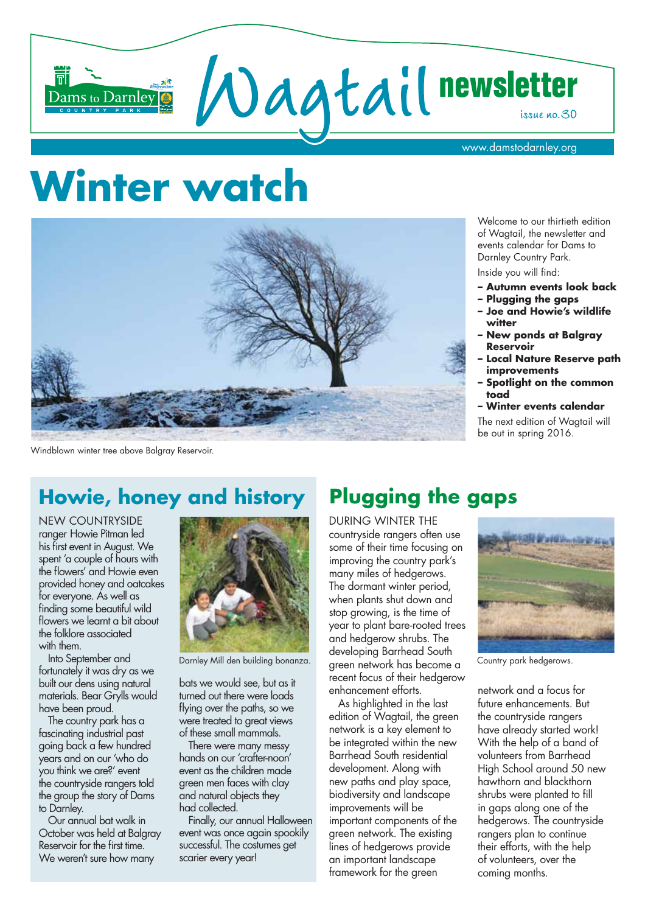

# Winter watch



Windblown winter tree above Balgray Reservoir.

## **Howie, honey and history**

**NEW COUNTRYSIDE** ranger Howie Pitman led his first event in August. We spent 'a couple of hours with the flowers' and Howie even provided honey and oatcakes for everyone. As well as finding some beautiful wild flowers we learnt a bit about the folklore associated with them.

Into September and fortunately it was dry as we built our dens using natural materials. Bear Grylls would have been proud.

The country park has a fascinating industrial past going back a few hundred vears and on our 'who do you think we are?' event the countryside rangers told the group the story of Dams to Darnley.

Our annual bat walk in October was held at Balaray Reservoir for the first time. We weren't sure how many



Darnley Mill den building bonanza.

bats we would see, but as it turned out there were loads flying over the paths, so we were treated to great views of these small mammals.

There were many messy hands on our 'crafter-noon' event as the children made green men faces with clay and natural objects they had collected.

Finally, our annual Halloween event was once again spookily successful. The costumes get scarier every year!

## **Plugging the gaps**

**DURING WINTER THE** countryside rangers often use some of their time focusing on improving the country park's many miles of hedgerows. The dormant winter period, when plants shut down and stop growing, is the time of year to plant bare-rooted trees and hedgerow shrubs. The developing Barrhead South green network has become a recent focus of their hedgerow enhancement efforts.

As highlighted in the last edition of Wagtail, the green network is a key element to be integrated within the new Barrhead South residential development. Along with new paths and play space, biodiversity and landscape improvements will be important components of the green network. The existing lines of hedgerows provide an important landscape framework for the green

Welcome to our thirtieth edition of Waatail, the newsletter and events calendar for Dams to Darnley Country Park. Inside you will find:

- Autumn events look back
- Plugging the gaps
- Joe and Howie's wildlife witter
- **New ponds at Balgray Reservoir**
- **Local Nature Reserve path** improvements
- Spotlight on the common toad
- Winter events calendar

The next edition of Wagtail will be out in spring 2016.



Country park hedgerows.

network and a focus for future enhancements. But the countryside rangers have already started work! With the help of a band of volunteers from Barrhead High School ground 50 new hawthorn and blackthorn shrubs were planted to fill in gaps along one of the hedgerows. The countryside rangers plan to continue their efforts, with the help of volunteers, over the coming months.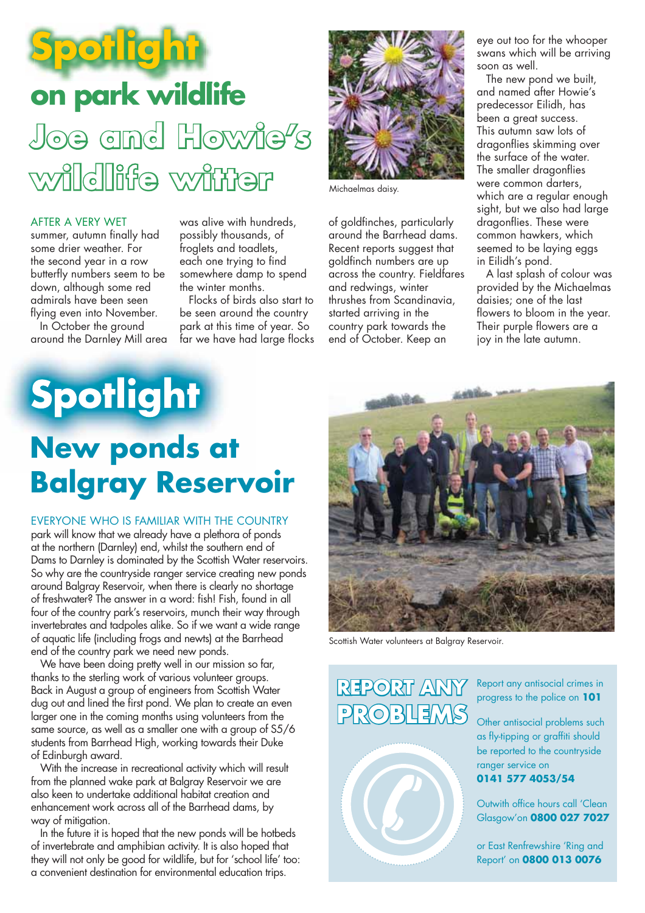

#### **AFTER A VERY WET**

summer, autumn finally had some drier weather. For the second year in a row butterfly numbers seem to be down, although some red admirals have been seen flying even into November.

In October the ground around the Darnley Mill area was alive with hundreds. possibly thousands, of froglets and toadlets, each one trying to find somewhere damp to spend the winter months.

Flocks of birds also start to be seen around the country park at this time of year. So far we have had large flocks



Michaelmas daisy.

of goldfinches, particularly around the Barrhead dams. Recent reports suggest that goldfinch numbers are up across the country. Fieldfares and redwings, winter thrushes from Scandinavia, started arriving in the country park towards the end of October. Keep an

eye out too for the whooper swans which will be arriving soon as well.

The new pond we built. and named after Howie's predecessor Eilidh, has been a great success. This autumn saw lots of dragonflies skimming over the surface of the water. The smaller dragonflies were common darters, which are a regular enough sight, but we also had large dragonflies. These were common hawkers, which seemed to be laying eggs in Eilidh's pond.

A last splash of colour was provided by the Michaelmas daisies; one of the last flowers to bloom in the year. Their purple flowers are a joy in the late autumn.

## **Spotlight New ponds at Balgray Reservoir**

EVERYONE WHO IS FAMILIAR WITH THE COUNTRY park will know that we already have a plethora of ponds at the northern (Darnley) end, whilst the southern end of Dams to Darnley is dominated by the Scottish Water reservoirs. So why are the countryside ranger service creating new ponds around Balgray Reservoir, when there is clearly no shortage of freshwater? The answer in a word: fish! Fish, found in all four of the country park's reservoirs, munch their way through invertebrates and tadpoles alike. So if we want a wide range of aquatic life (including frogs and newts) at the Barrhead end of the country park we need new ponds.

We have been doing pretty well in our mission so far, thanks to the sterling work of various volunteer groups. Back in August a group of engineers from Scottish Water dug out and lined the first pond. We plan to create an even larger one in the coming months using volunteers from the same source, as well as a smaller one with a group of S5/6 students from Barrhead High, working towards their Duke of Edinburgh award.

With the increase in recreational activity which will result from the planned wake park at Balgray Reservoir we are also keen to undertake additional habitat creation and enhancement work across all of the Barrhead dams, by way of mitigation.

In the future it is hoped that the new ponds will be hotbeds of invertebrate and amphibian activity. It is also hoped that they will not only be good for wildlife, but for 'school life' too: a convenient destination for environmental education trips.



Scottish Water volunteers at Balgray Reservoir.



Report any antisocial crimes in progress to the police on 101

Other antisocial problems such as fly-tipping or graffiti should be reported to the countryside ranger service on

0141 577 4053/54

Outwith office hours call 'Clean Glasgow'on 0800 027 7027

or East Renfrewshire 'Ring and Report' on **0800 013 0076**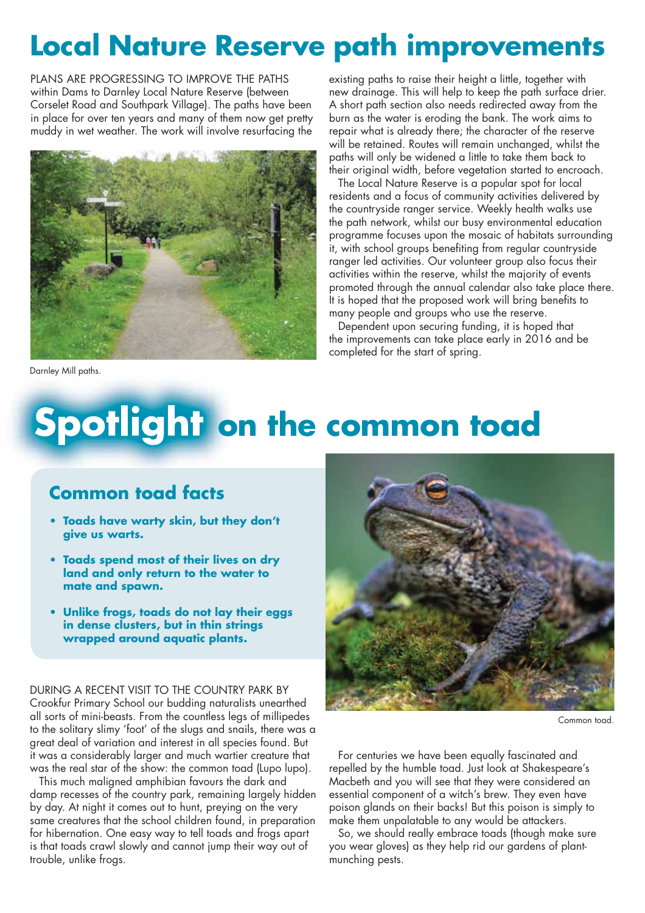## **Local Nature Reserve path improvements**

PLANS ARE PROGRESSING TO IMPROVE THE PATHS within Dams to Darnley Local Nature Reserve (between Corselet Road and Southpark Village). The paths have been in place for over ten years and many of them now get pretty muddy in wet weather. The work will involve resurfacing the



existing paths to raise their height a little, together with new drainage. This will help to keep the path surface drier. A short path section also needs redirected away from the burn as the water is eroding the bank. The work aims to repair what is already there; the character of the reserve will be retained. Routes will remain unchanged, whilst the paths will only be widened a little to take them back to their original width, before vegetation started to encroach.

The Local Nature Reserve is a popular spot for local residents and a focus of community activities delivered by the countryside ranger service. Weekly health walks use the path network, whilst our busy environmental education programme focuses upon the mosaic of habitats surrounding it, with school groups benefiting from regular countryside ranger led activities. Our volunteer group also focus their activities within the reserve, whilst the majority of events promoted through the annual calendar also take place there. It is hoped that the proposed work will bring benefits to many people and groups who use the reserve.

Dependent upon securing funding, it is hoped that the improvements can take place early in 2016 and be completed for the start of spring.

Darnley Mill paths.

# **Spotlight on the common toad**

### **Common toad facts**

- **Toads have warty skin, but they don't give us warts.**
- **Toads spend most of their lives on dry land and only return to the water to mate and spawn.**
- **Unlike frogs, toads do not lay their eggs in dense clusters, but in thin strings wrapped around aquatic plants.**

DURING A RECENT VISIT TO THE COUNTRY PARK BY Crookfur Primary School our budding naturalists unearthed all sorts of mini-beasts. From the countless legs of millipedes to the solitary slimy 'foot' of the slugs and snails, there was a great deal of variation and interest in all species found. But it was a considerably larger and much wartier creature that was the real star of the show: the common toad (Lupo lupo).

This much maligned amphibian favours the dark and damp recesses of the country park, remaining largely hidden by day. At night it comes out to hunt, preying on the very same creatures that the school children found, in preparation for hibernation. One easy way to tell toads and frogs apart is that toads crawl slowly and cannot jump their way out of trouble, unlike frogs.



Common toad

For centuries we have been equally fascinated and repelled by the humble toad. Just look at Shakespeare's Macbeth and you will see that they were considered an essential component of a witch's brew. They even have poison glands on their backs! But this poison is simply to make them unpalatable to any would be attackers.

So, we should really embrace toads (though make sure you wear gloves) as they help rid our gardens of plantmunching pests.